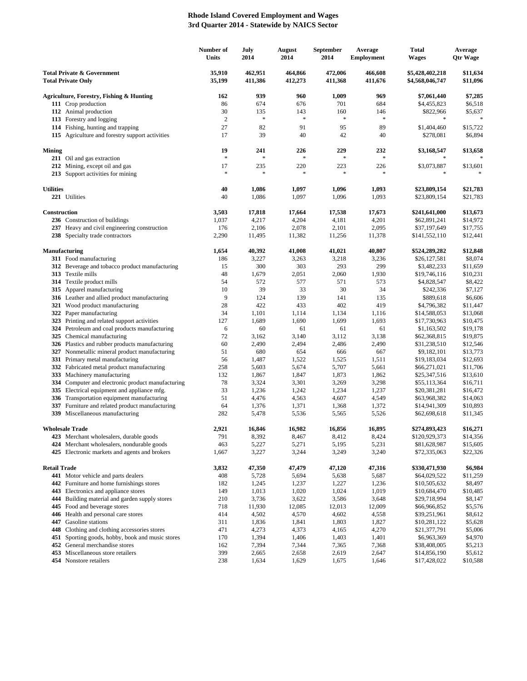## **Rhode Island Covered Employment and Wages 3rd Quarter 2014 - Statewide by NAICS Sector**

|                                                                    |                                                                                  | Number of<br>Units | July<br>2014       | August<br>2014     | September<br>2014  | Average<br><b>Employment</b> | <b>Total</b><br><b>Wages</b>       | Average<br><b>Qtr Wage</b> |
|--------------------------------------------------------------------|----------------------------------------------------------------------------------|--------------------|--------------------|--------------------|--------------------|------------------------------|------------------------------------|----------------------------|
| <b>Total Private &amp; Government</b><br><b>Total Private Only</b> |                                                                                  | 35,910<br>35,199   | 462,951<br>411,386 | 464,866<br>412,273 | 472,006<br>411,368 | 466,608<br>411,676           | \$5,428,402,218<br>\$4,568,046,747 | \$11,634<br>\$11,096       |
|                                                                    | Agriculture, Forestry, Fishing & Hunting                                         | 162                | 939                | 960                | 1,009              | 969                          | \$7,061,440                        | \$7,285                    |
|                                                                    | 111 Crop production                                                              | 86                 | 674                | 676                | 701                | 684                          | \$4,455,823                        | \$6,518                    |
|                                                                    | 112 Animal production                                                            | 30                 | 135                | 143                | 160                | 146                          | \$822,966                          | \$5,637                    |
|                                                                    | 113 Forestry and logging                                                         | $\overline{2}$     | ×                  | $\ast$             | $\ast$             | $\ast$                       | *                                  |                            |
|                                                                    | 114 Fishing, hunting and trapping                                                | 27                 | 82                 | 91                 | 95                 | 89                           | \$1,404,460                        | \$15,722                   |
|                                                                    | 115 Agriculture and forestry support activities                                  | 17                 | 39                 | 40                 | 42                 | 40                           | \$278,081                          | \$6,894                    |
| <b>Mining</b>                                                      |                                                                                  | 19                 | 241                | 226                | 229                | 232                          | \$3,168,547                        | \$13,658                   |
|                                                                    | 211 Oil and gas extraction                                                       | $\ast$             | $\frac{1}{2}$      | $\frac{1}{2}$      | $\ast$             | $\ast$                       |                                    |                            |
|                                                                    | 212 Mining, except oil and gas                                                   | 17                 | 235                | 220                | 223                | 226                          | \$3,073,887                        | \$13,601                   |
|                                                                    | 213 Support activities for mining                                                | $\ast$             | $\frac{1}{2}$      | $\frac{1}{2}$      | $\ast$             | $\ast$                       |                                    |                            |
| <b>Utilities</b>                                                   |                                                                                  | 40                 |                    |                    |                    |                              |                                    |                            |
|                                                                    | 221 Utilities                                                                    | 40                 | 1,086<br>1,086     | 1,097<br>1,097     | 1,096<br>1,096     | 1,093<br>1,093               | \$23,809,154<br>\$23,809,154       | \$21,783<br>\$21,783       |
|                                                                    |                                                                                  |                    |                    |                    |                    |                              |                                    |                            |
| Construction                                                       |                                                                                  | 3,503              | 17,818             | 17,664             | 17,538             | 17,673                       | \$241,641,000                      | \$13,673                   |
|                                                                    | 236 Construction of buildings                                                    | 1,037              | 4,217              | 4,204              | 4,181              | 4,201                        | \$62,891,241                       | \$14,972                   |
|                                                                    | 237 Heavy and civil engineering construction                                     | 176                | 2,106              | 2,078              | 2,101              | 2,095                        | \$37,197,649                       | \$17,755                   |
|                                                                    | 238 Specialty trade contractors                                                  | 2,290              | 11,495             | 11,382             | 11,256             | 11,378                       | \$141,552,110                      | \$12,441                   |
| <b>Manufacturing</b>                                               |                                                                                  | 1,654              | 40,392             | 41,008             | 41,021             | 40,807                       | \$524,289,282                      | \$12,848                   |
|                                                                    | 311 Food manufacturing                                                           | 186                | 3,227              | 3,263              | 3,218              | 3,236                        | \$26,127,581                       | \$8,074                    |
|                                                                    | 312 Beverage and tobacco product manufacturing                                   | 15                 | 300                | 303                | 293                | 299                          | \$3,482,233                        | \$11,659                   |
|                                                                    | 313 Textile mills                                                                | 48                 | 1,679              | 2,051              | 2,060              | 1,930                        | \$19,746,116                       | \$10,231                   |
|                                                                    | 314 Textile product mills                                                        | 54                 | 572                | 577                | 571                | 573                          | \$4,828,547                        | \$8,422                    |
|                                                                    | 315 Apparel manufacturing                                                        | 10                 | 39                 | 33                 | 30                 | 34                           | \$242,336                          | \$7,127                    |
|                                                                    | 316 Leather and allied product manufacturing                                     | 9                  | 124<br>422         | 139                | 141<br>402         | 135<br>419                   | \$889,618                          | \$6,606                    |
|                                                                    | 321 Wood product manufacturing<br>322 Paper manufacturing                        | 28<br>34           | 1,101              | 433<br>1,114       | 1,134              | 1,116                        | \$4,796,382<br>\$14,588,053        | \$11,447<br>\$13,068       |
|                                                                    | 323 Printing and related support activities                                      | 127                | 1,689              | 1,690              | 1,699              | 1,693                        | \$17,730,963                       | \$10,475                   |
|                                                                    | 324 Petroleum and coal products manufacturing                                    | 6                  | 60                 | 61                 | 61                 | 61                           | \$1,163,502                        | \$19,178                   |
|                                                                    | 325 Chemical manufacturing                                                       | 72                 | 3,162              | 3,140              | 3,112              | 3,138                        | \$62,368,815                       | \$19,875                   |
|                                                                    | 326 Plastics and rubber products manufacturing                                   | 60                 | 2,490              | 2,494              | 2,486              | 2,490                        | \$31,238,510                       | \$12,546                   |
|                                                                    | 327 Nonmetallic mineral product manufacturing                                    | 51                 | 680                | 654                | 666                | 667                          | \$9,182,101                        | \$13,773                   |
|                                                                    | 331 Primary metal manufacturing                                                  | 56                 | 1,487              | 1,522              | 1,525              | 1,511                        | \$19,183,034                       | \$12,693                   |
|                                                                    | 332 Fabricated metal product manufacturing<br>333 Machinery manufacturing        | 258<br>132         | 5,603<br>1,867     | 5,674<br>1,847     | 5,707<br>1,873     | 5,661<br>1,862               | \$66,271,021                       | \$11,706<br>\$13,610       |
|                                                                    | 334 Computer and electronic product manufacturing                                | 78                 | 3,324              | 3,301              | 3,269              | 3,298                        | \$25,347,516<br>\$55,113,364       | \$16,711                   |
|                                                                    | 335 Electrical equipment and appliance mfg.                                      | 33                 | 1,236              | 1,242              | 1,234              | 1,237                        | \$20,381,281                       | \$16,472                   |
|                                                                    | 336 Transportation equipment manufacturing                                       | 51                 | 4,476              | 4,563              | 4,607              | 4,549                        | \$63,968,382                       | \$14,063                   |
|                                                                    | 337 Furniture and related product manufacturing                                  | 64                 | 1,376              | 1,371              | 1,368              | 1,372                        | \$14,941,309                       | \$10,893                   |
|                                                                    | 339 Miscellaneous manufacturing                                                  | 282                | 5,478              | 5,536              | 5,565              | 5,526                        | \$62,698,618                       | \$11,345                   |
| <b>Wholesale Trade</b>                                             |                                                                                  | 2,921              | 16,846             | 16,982             | 16,856             | 16,895                       | \$274,893,423                      | \$16,271                   |
|                                                                    | 423 Merchant wholesalers, durable goods                                          | 791                | 8,392              | 8,467              | 8,412              | 8,424                        | \$120,929,373                      | \$14,356                   |
|                                                                    | 424 Merchant wholesalers, nondurable goods                                       | 463                | 5,227              | 5,271              | 5,195              | 5,231                        | \$81,628,987                       | \$15,605                   |
|                                                                    | 425 Electronic markets and agents and brokers                                    | 1,667              | 3,227              | 3,244              | 3,249              | 3,240                        | \$72,335,063                       | \$22,326                   |
|                                                                    |                                                                                  |                    |                    |                    |                    |                              |                                    |                            |
| <b>Retail Trade</b>                                                |                                                                                  | 3,832              | 47,350             | 47,479             | 47,120             | 47,316                       | \$330,471,930                      | \$6,984                    |
|                                                                    | 441 Motor vehicle and parts dealers<br>442 Furniture and home furnishings stores | 408<br>182         | 5,728<br>1,245     | 5,694<br>1,237     | 5,638<br>1,227     | 5,687<br>1,236               | \$64,029,522<br>\$10,505,632       | \$11,259<br>\$8,497        |
|                                                                    | 443 Electronics and appliance stores                                             | 149                | 1,013              | 1,020              | 1,024              | 1,019                        | \$10,684,470                       | \$10,485                   |
|                                                                    | 444 Building material and garden supply stores                                   | 210                | 3,736              | 3,622              | 3,586              | 3,648                        | \$29,718,994                       | \$8,147                    |
|                                                                    | 445 Food and beverage stores                                                     | 718                | 11,930             | 12,085             | 12,013             | 12,009                       | \$66,966,852                       | \$5,576                    |
|                                                                    | 446 Health and personal care stores                                              | 414                | 4,502              | 4,570              | 4,602              | 4,558                        | \$39,251,961                       | \$8,612                    |
|                                                                    | 447 Gasoline stations                                                            | 311                | 1,836              | 1,841              | 1,803              | 1,827                        | \$10,281,122                       | \$5,628                    |
|                                                                    | 448 Clothing and clothing accessories stores                                     | 471                | 4,273              | 4,373              | 4,165              | 4,270                        | \$21,377,791                       | \$5,006                    |
|                                                                    | 451 Sporting goods, hobby, book and music stores                                 | 170                | 1,394              | 1,406              | 1,403              | 1,401                        | \$6,963,369                        | \$4,970                    |
|                                                                    | 452 General merchandise stores<br>453 Miscellaneous store retailers              | 162<br>399         | 7,394<br>2,665     | 7,344<br>2,658     | 7,365<br>2,619     | 7,368<br>2,647               | \$38,408,005<br>\$14,856,190       | \$5,213<br>\$5,612         |
|                                                                    | 454 Nonstore retailers                                                           | 238                | 1,634              | 1,629              | 1,675              | 1,646                        | \$17,428,022                       | \$10,588                   |
|                                                                    |                                                                                  |                    |                    |                    |                    |                              |                                    |                            |